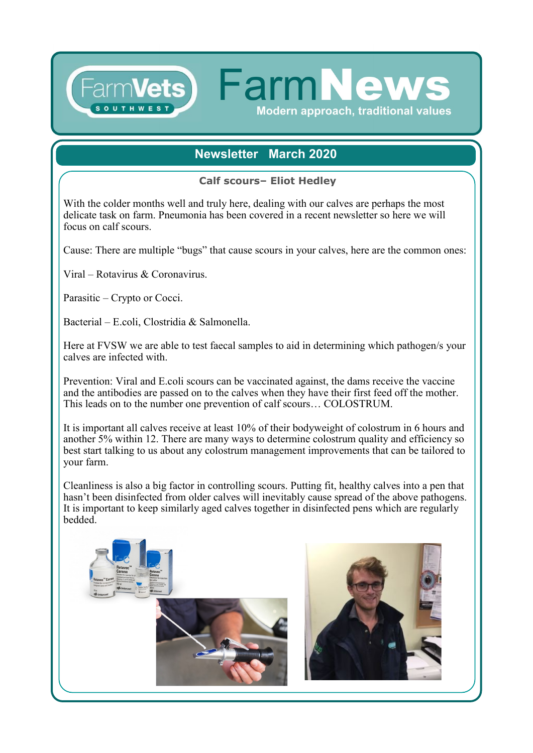## **Newsletter March 2020**

**FarmNew** 

Modern approach, traditional values

**Calf scours– Eliot Hedley**

With the colder months well and truly here, dealing with our calves are perhaps the most delicate task on farm. Pneumonia has been covered in a recent newsletter so here we will focus on calf scours.

Cause: There are multiple "bugs" that cause scours in your calves, here are the common ones:

Viral – Rotavirus & Coronavirus.

Parasitic – Crypto or Cocci.

Bacterial – E.coli, Clostridia & Salmonella.

Here at FVSW we are able to test faecal samples to aid in determining which pathogen/s your calves are infected with.

Prevention: Viral and E.coli scours can be vaccinated against, the dams receive the vaccine and the antibodies are passed on to the calves when they have their first feed off the mother. This leads on to the number one prevention of calf scours… COLOSTRUM.

It is important all calves receive at least 10% of their bodyweight of colostrum in 6 hours and another 5% within 12. There are many ways to determine colostrum quality and efficiency so best start talking to us about any colostrum management improvements that can be tailored to your farm.

Cleanliness is also a big factor in controlling scours. Putting fit, healthy calves into a pen that hasn't been disinfected from older calves will inevitably cause spread of the above pathogens. It is important to keep similarly aged calves together in disinfected pens which are regularly bedded.